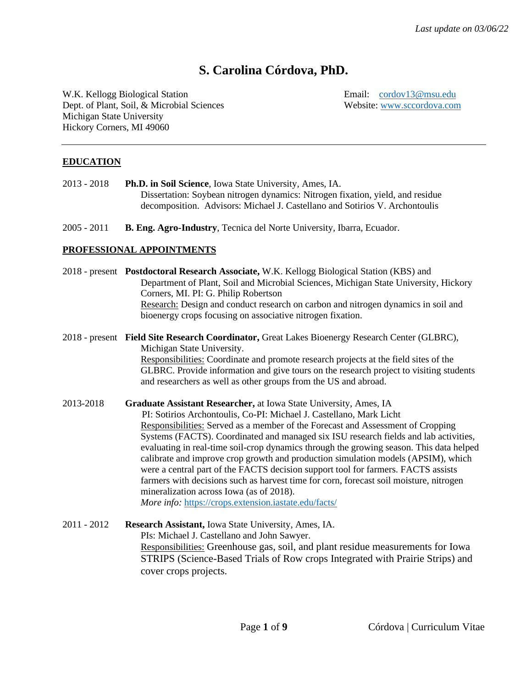# **S. Carolina Córdova, PhD.**

W.K. Kellogg Biological Station **Email:** *[cordov13@msu.edu](mailto:cordov13@msu.edu)*<br>
Dept. of Plant, Soil, & Microbial Sciences Website: www.sccordova.com Dept. of Plant, Soil, & Microbial Sciences Michigan State University Hickory Corners, MI 49060

## **EDUCATION**

- 2013 2018 **Ph.D. in Soil Science**, Iowa State University, Ames, IA. Dissertation: Soybean nitrogen dynamics: Nitrogen fixation, yield, and residue decomposition. Advisors: Michael J. Castellano and Sotirios V. Archontoulis
- 2005 2011 **B. Eng. Agro-Industry**, Tecnica del Norte University, Ibarra, Ecuador.

### **PROFESSIONAL APPOINTMENTS**

|             | 2018 - present Postdoctoral Research Associate, W.K. Kellogg Biological Station (KBS) and<br>Department of Plant, Soil and Microbial Sciences, Michigan State University, Hickory<br>Corners, MI. PI: G. Philip Robertson<br>Research: Design and conduct research on carbon and nitrogen dynamics in soil and<br>bioenergy crops focusing on associative nitrogen fixation.                                                                                                                                                                                                                                                                                                                                                                                                            |
|-------------|-----------------------------------------------------------------------------------------------------------------------------------------------------------------------------------------------------------------------------------------------------------------------------------------------------------------------------------------------------------------------------------------------------------------------------------------------------------------------------------------------------------------------------------------------------------------------------------------------------------------------------------------------------------------------------------------------------------------------------------------------------------------------------------------|
|             | 2018 - present Field Site Research Coordinator, Great Lakes Bioenergy Research Center (GLBRC),<br>Michigan State University.<br>Responsibilities: Coordinate and promote research projects at the field sites of the<br>GLBRC. Provide information and give tours on the research project to visiting students<br>and researchers as well as other groups from the US and abroad.                                                                                                                                                                                                                                                                                                                                                                                                       |
| 2013-2018   | Graduate Assistant Researcher, at Iowa State University, Ames, IA<br>PI: Sotirios Archontoulis, Co-PI: Michael J. Castellano, Mark Licht<br>Responsibilities: Served as a member of the Forecast and Assessment of Cropping<br>Systems (FACTS). Coordinated and managed six ISU research fields and lab activities,<br>evaluating in real-time soil-crop dynamics through the growing season. This data helped<br>calibrate and improve crop growth and production simulation models (APSIM), which<br>were a central part of the FACTS decision support tool for farmers. FACTS assists<br>farmers with decisions such as harvest time for corn, forecast soil moisture, nitrogen<br>mineralization across Iowa (as of 2018).<br>More info: https://crops.extension.iastate.edu/facts/ |
| 2011 - 2012 | Research Assistant, Iowa State University, Ames, IA.<br>PIs: Michael J. Castellano and John Sawyer.<br>Responsibilities: Greenhouse gas, soil, and plant residue measurements for Iowa                                                                                                                                                                                                                                                                                                                                                                                                                                                                                                                                                                                                  |

Responsibilities: Greenhouse gas, soil, and plant residue measurements for Iowa STRIPS (Science-Based Trials of Row crops Integrated with Prairie Strips) and cover crops projects.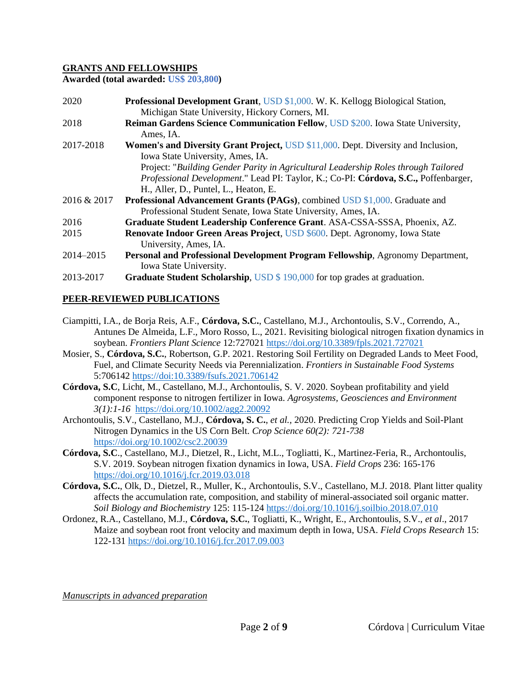#### **GRANTS AND FELLOWSHIPS**

**Awarded (total awarded: US\$ 203,800)**

| 2020        | Professional Development Grant, USD \$1,000. W. K. Kellogg Biological Station,           |
|-------------|------------------------------------------------------------------------------------------|
|             | Michigan State University, Hickory Corners, MI.                                          |
| 2018        | <b>Reiman Gardens Science Communication Fellow, USD \$200. Iowa State University,</b>    |
|             | Ames, IA.                                                                                |
| 2017-2018   | <b>Women's and Diversity Grant Project, USD \$11,000. Dept. Diversity and Inclusion,</b> |
|             | Iowa State University, Ames, IA.                                                         |
|             | Project: "Building Gender Parity in Agricultural Leadership Roles through Tailored       |
|             | Professional Development." Lead PI: Taylor, K.; Co-PI: Córdova, S.C., Poffenbarger,      |
|             | H., Aller, D., Puntel, L., Heaton, E.                                                    |
| 2016 & 2017 | <b>Professional Advancement Grants (PAGs), combined USD \$1,000. Graduate and</b>        |
|             | Professional Student Senate, Iowa State University, Ames, IA.                            |
| 2016        | Graduate Student Leadership Conference Grant. ASA-CSSA-SSSA, Phoenix, AZ.                |
| 2015        | Renovate Indoor Green Areas Project, USD \$600. Dept. Agronomy, Iowa State               |
|             | University, Ames, IA.                                                                    |
| 2014-2015   | Personal and Professional Development Program Fellowship, Agronomy Department,           |
|             | Iowa State University.                                                                   |
| 2013-2017   | Graduate Student Scholarship, USD \$190,000 for top grades at graduation.                |

## **PEER-REVIEWED PUBLICATIONS**

- Ciampitti, I.A., de Borja Reis, A.F., **Córdova, S.C.**, Castellano, M.J., Archontoulis, S.V., Correndo, A., Antunes De Almeida, L.F., Moro Rosso, L., 2021. Revisiting biological nitrogen fixation dynamics in soybean. *Frontiers Plant Science* 12:72702[1 https://doi.org/10.3389/fpls.2021.727021](https://doi.org/10.3389/fpls.2021.727021)
- Mosier, S., **Córdova, S.C.**, Robertson, G.P. 2021. Restoring Soil Fertility on Degraded Lands to Meet Food, Fuel, and Climate Security Needs via Perennialization. *Frontiers in Sustainable Food Systems* 5:706142 https://doi:10.3389/fsufs.2021.706142
- **Córdova, S.C**, Licht, M., Castellano, M.J., Archontoulis, S. V. 2020. Soybean profitability and yield component response to nitrogen fertilizer in Iowa. *Agrosystems, Geosciences and Environment 3(1):1-16* <https://doi.org/10.1002/agg2.20092>
- Archontoulis, S.V., Castellano, M.J., **Córdova, S. C.**, *et al.,* 2020. Predicting Crop Yields and Soil-Plant Nitrogen Dynamics in the US Corn Belt. *Crop Science 60(2): 721-738* <https://doi.org/10.1002/csc2.20039>
- **Córdova, S.C**., Castellano, M.J., Dietzel, R., Licht, M.L., Togliatti, K., Martinez-Feria, R., Archontoulis, S.V. 2019. Soybean nitrogen fixation dynamics in Iowa, USA. *Field Crops* 236: 165-176 <https://doi.org/10.1016/j.fcr.2019.03.018>
- **Córdova, S.C.**, Olk, D., Dietzel, R., Muller, K., Archontoulis, S.V., Castellano, M.J. 2018. Plant litter quality affects the accumulation rate, composition, and stability of mineral-associated soil organic matter. *Soil Biology and Biochemistry* 125: 115-124 <https://doi.org/10.1016/j.soilbio.2018.07.010>
- Ordonez, R.A., Castellano, M.J., **Córdova, S.C.**, Togliatti, K., Wright, E., Archontoulis, S.V., *et al*., 2017 Maize and soybean root front velocity and maximum depth in Iowa, USA. *Field Crops Research* 15: 122-131 <https://doi.org/10.1016/j.fcr.2017.09.003>

*Manuscripts in advanced preparation*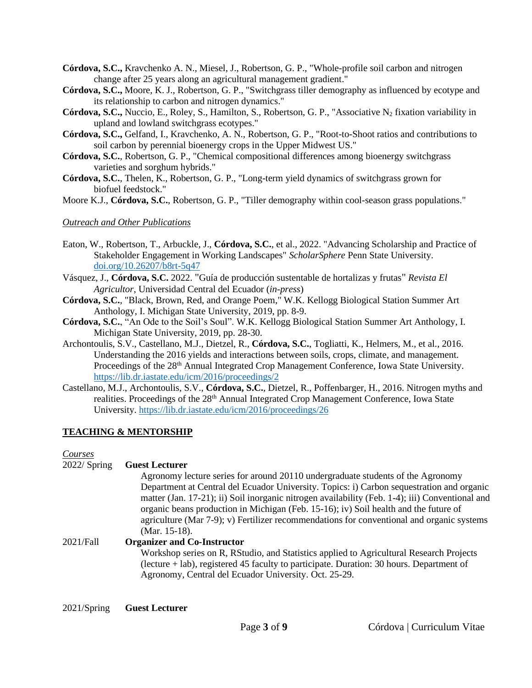- **Córdova, S.C.,** Kravchenko A. N., Miesel, J., Robertson, G. P., "Whole-profile soil carbon and nitrogen change after 25 years along an agricultural management gradient."
- **Córdova, S.C.,** Moore, K. J., Robertson, G. P., "Switchgrass tiller demography as influenced by ecotype and its relationship to carbon and nitrogen dynamics."
- **Córdova, S.C.,** Nuccio, E., Roley, S., Hamilton, S., Robertson, G. P., "Associative N<sub>2</sub> fixation variability in upland and lowland switchgrass ecotypes."
- **Córdova, S.C.,** Gelfand, I., Kravchenko, A. N., Robertson, G. P., "Root-to-Shoot ratios and contributions to soil carbon by perennial bioenergy crops in the Upper Midwest US."
- **Córdova, S.C.**, Robertson, G. P., "Chemical compositional differences among bioenergy switchgrass varieties and sorghum hybrids."
- **Córdova, S.C.**, Thelen, K., Robertson, G. P., "Long-term yield dynamics of switchgrass grown for biofuel feedstock."
- Moore K.J., **Córdova, S.C.**, Robertson, G. P., "Tiller demography within cool-season grass populations."

#### *Outreach and Other Publications*

- Eaton, W., Robertson, T., Arbuckle, J., **Córdova, S.C.**, et al., 2022. "Advancing Scholarship and Practice of Stakeholder Engagement in Working Landscapes" *ScholarSphere* Penn State University. [doi.org/10.26207/b8rt-5q47](https://urldefense.com/v3/__https:/nam10.safelinks.protection.outlook.com/?url=http*3A*2F*2Fdoi.org*2F10.26207*2Fb8rt-5q47&data=04*7C01*7Cwme107*40psu.edu*7C2bee368efab645b30be708d9daca9a1c*7C7cf48d453ddb4389a9c1c115526eb52e*7C0*7C0*7C637781385969642694*7CUnknown*7CTWFpbGZsb3d8eyJWIjoiMC4wLjAwMDAiLCJQIjoiV2luMzIiLCJBTiI6Ik1haWwiLCJXVCI6Mn0*3D*7C3000&sdata=Msro3NXRNsiaAVj4iI8StqR9kqmxk42SXsc*2BgDiiFpE*3D&reserved=0__;JSUlJSUlJSUlJSUlJSUlJSUlJQ!!HXCxUKc!lORCQ-R3I4HMtFt_klpiR03VJiyV65p7jMVj8JFEgbm9rITj5BOZ6MHeSveEWEElRw$)
- Vásquez, J., **Córdova, S.C.** 2022. "Guía de producción sustentable de hortalizas y frutas" *Revista El Agricultor*, Universidad Central del Ecuador (*in-press*)
- **Córdova, S.C.**, "Black, Brown, Red, and Orange Poem," W.K. Kellogg Biological Station Summer Art Anthology, I. Michigan State University, 2019, pp. 8-9.
- **Córdova, S.C.**, "An Ode to the Soil's Soul". W.K. Kellogg Biological Station Summer Art Anthology, I. Michigan State University, 2019, pp. 28-30.
- Archontoulis, S.V., Castellano, M.J., Dietzel, R., **Córdova, S.C.**, Togliatti, K., Helmers, M., et al., 2016. Understanding the 2016 yields and interactions between soils, crops, climate, and management. Proceedings of the 28<sup>th</sup> Annual Integrated Crop Management Conference, Iowa State University. <https://lib.dr.iastate.edu/icm/2016/proceedings/2>
- Castellano, M.J., Archontoulis, S.V., **Córdova, S.C.**, Dietzel, R., Poffenbarger, H., 2016. Nitrogen myths and realities. Proceedings of the 28<sup>th</sup> Annual Integrated Crop Management Conference, Iowa State University.<https://lib.dr.iastate.edu/icm/2016/proceedings/26>

#### **TEACHING & MENTORSHIP**

#### *Courses*

#### 2022/ Spring **Guest Lecturer**

Agronomy lecture series for around 20110 undergraduate students of the Agronomy Department at Central del Ecuador University. Topics: i) Carbon sequestration and organic matter (Jan. 17-21); ii) Soil inorganic nitrogen availability (Feb. 1-4); iii) Conventional and organic beans production in Michigan (Feb. 15-16); iv) Soil health and the future of agriculture (Mar 7-9); v) Fertilizer recommendations for conventional and organic systems (Mar. 15-18).

# 2021/Fall **Organizer and Co-Instructor**

Workshop series on R, RStudio, and Statistics applied to Agricultural Research Projects (lecture + lab), registered 45 faculty to participate. Duration: 30 hours. Department of Agronomy, Central del Ecuador University. Oct. 25-29.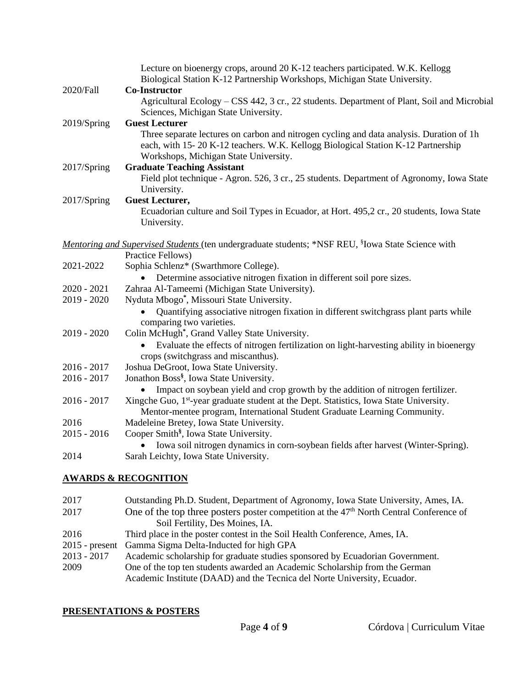| 2020/Fall     | Lecture on bioenergy crops, around 20 K-12 teachers participated. W.K. Kellogg<br>Biological Station K-12 Partnership Workshops, Michigan State University.<br><b>Co-Instructor</b>                                   |
|---------------|-----------------------------------------------------------------------------------------------------------------------------------------------------------------------------------------------------------------------|
|               | Agricultural Ecology - CSS 442, 3 cr., 22 students. Department of Plant, Soil and Microbial<br>Sciences, Michigan State University.                                                                                   |
| 2019/Spring   | <b>Guest Lecturer</b>                                                                                                                                                                                                 |
|               | Three separate lectures on carbon and nitrogen cycling and data analysis. Duration of 1h<br>each, with 15-20 K-12 teachers. W.K. Kellogg Biological Station K-12 Partnership<br>Workshops, Michigan State University. |
| 2017/Spring   | <b>Graduate Teaching Assistant</b>                                                                                                                                                                                    |
|               | Field plot technique - Agron. 526, 3 cr., 25 students. Department of Agronomy, Iowa State<br>University.                                                                                                              |
| 2017/Spring   | <b>Guest Lecturer,</b>                                                                                                                                                                                                |
|               | Ecuadorian culture and Soil Types in Ecuador, at Hort. 495,2 cr., 20 students, Iowa State<br>University.                                                                                                              |
|               | Mentoring and Supervised Students (ten undergraduate students; *NSF REU, <sup>§</sup> Iowa State Science with<br>Practice Fellows)                                                                                    |
| 2021-2022     | Sophia Schlenz* (Swarthmore College).                                                                                                                                                                                 |
|               | Determine associative nitrogen fixation in different soil pore sizes.                                                                                                                                                 |
| 2020 - 2021   | Zahraa Al-Tameemi (Michigan State University).                                                                                                                                                                        |
| 2019 - 2020   | Nyduta Mbogo*, Missouri State University.                                                                                                                                                                             |
|               | Quantifying associative nitrogen fixation in different switchgrass plant parts while<br>comparing two varieties.                                                                                                      |
| 2019 - 2020   | Colin McHugh*, Grand Valley State University.                                                                                                                                                                         |
|               | Evaluate the effects of nitrogen fertilization on light-harvesting ability in bioenergy<br>$\bullet$<br>crops (switchgrass and miscanthus).                                                                           |
| 2016 - 2017   | Joshua DeGroot, Iowa State University.                                                                                                                                                                                |
| 2016 - 2017   | Jonathon Boss <sup>§</sup> , Iowa State University.                                                                                                                                                                   |
|               | Impact on soybean yield and crop growth by the addition of nitrogen fertilizer.                                                                                                                                       |
| 2016 - 2017   | Xingche Guo, 1 <sup>st</sup> -year graduate student at the Dept. Statistics, Iowa State University.<br>Mentor-mentee program, International Student Graduate Learning Community.                                      |
| 2016          | Madeleine Bretey, Iowa State University.                                                                                                                                                                              |
| $2015 - 2016$ | Cooper Smith <sup>§</sup> , Iowa State University.                                                                                                                                                                    |
| 2014          | Iowa soil nitrogen dynamics in corn-soybean fields after harvest (Winter-Spring).<br>Sarah Leichty, Iowa State University.                                                                                            |
|               | <u>AWARDS &amp; RECOGNITION</u>                                                                                                                                                                                       |
|               |                                                                                                                                                                                                                       |

| 2017             | Outstanding Ph.D. Student, Department of Agronomy, Iowa State University, Ames, IA.                                                                     |
|------------------|---------------------------------------------------------------------------------------------------------------------------------------------------------|
| 2017             | One of the top three posters poster competition at the $47th$ North Central Conference of                                                               |
|                  | Soil Fertility, Des Moines, IA.                                                                                                                         |
| 2016             | Third place in the poster contest in the Soil Health Conference, Ames, IA.                                                                              |
| $2015$ - present | Gamma Sigma Delta-Inducted for high GPA                                                                                                                 |
| $2013 - 2017$    | Academic scholarship for graduate studies sponsored by Ecuadorian Government.                                                                           |
| 2009             | One of the top ten students awarded an Academic Scholarship from the German<br>Academic Institute (DAAD) and the Tecnica del Norte University, Ecuador. |
|                  |                                                                                                                                                         |

# **PRESENTATIONS & POSTERS**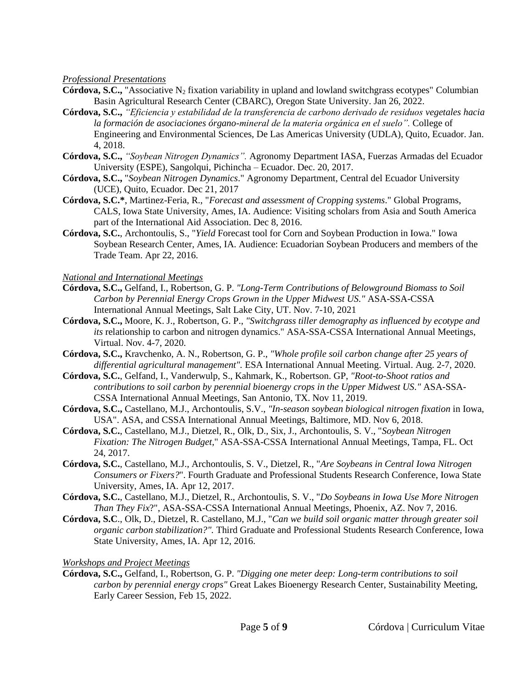#### *Professional Presentations*

- **Córdova, S.C.,** "Associative N<sub>2</sub> fixation variability in upland and lowland switchgrass ecotypes" Columbian Basin Agricultural Research Center (CBARC), Oregon State University. Jan 26, 2022.
- **Córdova, S.C.,** *"Eficiencia y estabilidad de la transferencia de carbono derivado de residuos vegetales hacia la formación de asociaciones órgano-mineral de la materia orgánica en el suelo".* College of Engineering and Environmental Sciences, De Las Americas University (UDLA), Quito, Ecuador. Jan. 4, 2018.
- **Córdova, S.C.,** *"Soybean Nitrogen Dynamics".* Agronomy Department IASA, Fuerzas Armadas del Ecuador University (ESPE), Sangolqui, Pichincha – Ecuador. Dec. 20, 2017.
- **Córdova, S.C.,** "*Soybean Nitrogen Dynamics*." Agronomy Department, Central del Ecuador University (UCE), Quito, Ecuador. Dec 21, 2017
- **Córdova, S.C.\***, Martinez-Feria, R., "*Forecast and assessment of Cropping systems*." Global Programs, CALS, Iowa State University, Ames, IA. Audience: Visiting scholars from Asia and South America part of the International Aid Association. Dec 8, 2016.
- **Córdova, S.C.**, Archontoulis, S., "*Yield* [Forecast tool for Corn and Soybean Production in Iowa."](http://scisoc.confex.com/scisoc/2016am/a03/papers/index.cgi?username=102826&password=784668) Iowa Soybean Research Center, Ames, IA. Audience: Ecuadorian Soybean Producers and members of the Trade Team. Apr 22, 2016.

#### *National and International Meetings*

- **Córdova, S.C.,** Gelfand, I., Robertson, G. P. *"Long-Term Contributions of Belowground Biomass to Soil Carbon by Perennial Energy Crops Grown in the Upper Midwest US."* ASA-SSA-CSSA International Annual Meetings, Salt Lake City, UT. Nov. 7-10, 2021
- **Córdova, S.C.,** Moore, K. J., Robertson, G. P., *"Switchgrass tiller demography as influenced by ecotype and its* relationship to carbon and nitrogen dynamics." ASA-SSA-CSSA International Annual Meetings, Virtual. Nov. 4-7, 2020.
- **Córdova, S.C.,** Kravchenko, A. N., Robertson, G. P., *"Whole profile soil carbon change after 25 years of differential agricultural management".* ESA International Annual Meeting. Virtual. Aug. 2-7, 2020.
- **Córdova, S.C.**, Gelfand, I., Vanderwulp, S., Kahmark, K., Robertson. GP, *["Root-to-Shoot ratios and](https://scisoc.confex.com/scisoc/2019am/meetingapp.cgi/Paper/120755)  [contributions to soil carbon by perennial bioenergy crops in the Upper Midwest US."](https://scisoc.confex.com/scisoc/2019am/meetingapp.cgi/Paper/120755)* ASA-SSA-CSSA International Annual Meetings, San Antonio, TX. Nov 11, 2019.
- **Córdova, S.C.,** Castellano, M.J., Archontoulis, S.V., *"In-season soybean biological nitrogen fixation* in Iowa, USA". ASA, and CSSA International Annual Meetings, Baltimore, MD. Nov 6, 2018.
- **Córdova, S.C.**, Castellano, M.J., Dietzel, R., Olk, D., Six, J., Archontoulis, S. V., "*Soybean Nitrogen Fixation: The Nitrogen Budget*," ASA-SSA-CSSA International Annual Meetings, Tampa, FL. Oct 24, 2017.
- **Córdova, S.C.**, Castellano, M.J., Archontoulis, S. V., Dietzel, R., "*Are Soybeans in Central Iowa Nitrogen Consumers or Fixers?*". Fourth Graduate and Professional Students Research Conference, Iowa State University, Ames, IA. Apr 12, 2017.
- **Córdova, S.C.**, Castellano, M.J., Dietzel, R., Archontoulis, S. V., "*Do Soybeans in Iowa Use More Nitrogen Than They Fix*?", ASA-SSA-CSSA International Annual Meetings, Phoenix, AZ. Nov 7, 2016.
- **Córdova, S.C**., Olk, D., Dietzel, R. Castellano, M.J., "*Can we build soil organic matter through greater soil organic carbon stabilization?".* Third Graduate and Professional Students Research Conference, Iowa State University, Ames, IA. Apr 12, 2016.

#### *Workshops and Project Meetings*

**Córdova, S.C.,** Gelfand, I., Robertson, G. P. *"Digging one meter deep: Long-term contributions to soil carbon by perennial energy crops"* Great Lakes Bioenergy Research Center, Sustainability Meeting, Early Career Session, Feb 15, 2022.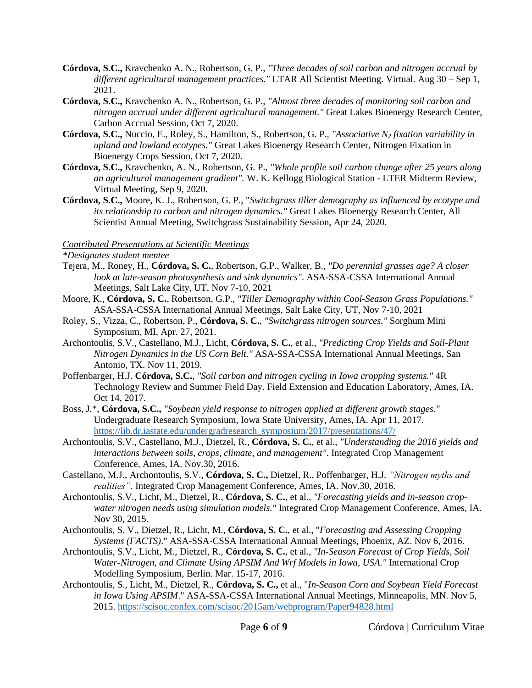- **Córdova, S.C.,** Kravchenko A. N., Robertson, G. P., *"Three decades of soil carbon and nitrogen accrual by different agricultural management practices."* LTAR All Scientist Meeting. Virtual. Aug 30 – Sep 1, 2021.
- **Córdova, S.C.,** Kravchenko A. N., Robertson, G. P., *"Almost three decades of monitoring soil carbon and nitrogen accrual under different agricultural management."* Great Lakes Bioenergy Research Center, Carbon Accrual Session, Oct 7, 2020.
- **Córdova, S.C.,** Nuccio, E., Roley, S., Hamilton, S., Robertson, G. P., *"Associative N<sup>2</sup> fixation variability in upland and lowland ecotypes."* Great Lakes Bioenergy Research Center, Nitrogen Fixation in Bioenergy Crops Session, Oct 7, 2020.
- **Córdova, S.C.,** Kravchenko, A. N., Robertson, G. P., *"Whole profile soil carbon change after 25 years along an agricultural management gradient".* W. K. Kellogg Biological Station - LTER Midterm Review, Virtual Meeting, Sep 9, 2020.
- **Córdova, S.C.,** Moore, K. J., Robertson, G. P., "*Switchgrass tiller demography as influenced by ecotype and its relationship to carbon and nitrogen dynamics."* Great Lakes Bioenergy Research Center, All Scientist Annual Meeting, Switchgrass Sustainability Session, Apr 24, 2020.

## *Contributed Presentations at Scientific Meetings*

*\*Designates student mentee*

- Tejera, M., Roney, H., **Córdova, S. C.**, Robertson, G.P., Walker, B., *"Do perennial grasses age? A closer look at late-season photosynthesis and sink dynamics"*. ASA-SSA-CSSA International Annual Meetings, Salt Lake City, UT, Nov 7-10, 2021
- Moore, K., **Córdova, S. C.**, Robertson, G.P., *"Tiller Demography within Cool-Season Grass Populations."* ASA-SSA-CSSA International Annual Meetings, Salt Lake City, UT, Nov 7-10, 2021
- Roley, S., Vizza, C., Robertson, P., **Córdova, S. C.**, *"Switchgrass nitrogen sources."* Sorghum Mini Symposium, MI, Apr. 27, 2021.
- Archontoulis, S.V., Castellano, M.J., Licht, **Córdova, S. C.**, et al., *"Predicting Crop Yields and Soil-Plant Nitrogen Dynamics in the US Corn Belt."* ASA-SSA-CSSA International Annual Meetings, San Antonio, TX. Nov 11, 2019.
- Poffenbarger, H.J. **Córdova, S.C.**, *"Soil carbon and nitrogen cycling in Iowa cropping systems."* 4R Technology Review and Summer Field Day. Field Extension and Education Laboratory, Ames, IA. Oct 14, 2017.
- Boss, J.\*, **Córdova, S.C.,** *"Soybean yield response to nitrogen applied at different growth stages."* Undergraduate Research Symposium, Iowa State University, Ames, IA. Apr 11, 2017. [https://lib.dr.iastate.edu/undergradresearch\\_symposium/2017/presentations/47/](https://lib.dr.iastate.edu/undergradresearch_symposium/2017/presentations/47/)
- Archontoulis, S.V., Castellano, M.J., Dietzel, R., **Córdova, S. C.**, et al., *"Understanding the 2016 yields and interactions between soils, crops, climate, and management"*. Integrated Crop Management Conference, Ames, IA. Nov.30, 2016.
- Castellano, M.J., Archontoulis, S.V., **Córdova, S. C.,** Dietzel, R., Poffenbarger, H.J. *"Nitrogen myths and realities"*. Integrated Crop Management Conference, Ames, IA. Nov.30, 2016.
- Archontoulis, S.V., Licht, M., Dietzel, R., **Córdova, S. C.**, et al., *"Forecasting yields and in-season cropwater nitrogen needs using simulation models."* Integrated Crop Management Conference, Ames, IA. Nov 30, 2015.
- Archontoulis, S. V., Dietzel, R., Licht, M., **Córdova, S. C.**, et al., "*[Forecasting and Assessing Cropping](http://scisoc.confex.com/scisoc/2016am/a03/papers/index.cgi?username=102826&password=784668)  [Systems \(FACTS\)](http://scisoc.confex.com/scisoc/2016am/a03/papers/index.cgi?username=102826&password=784668)*." ASA-SSA-CSSA International Annual Meetings, Phoenix, AZ. Nov 6, 2016.
- Archontoulis, S.V., Licht, M., Dietzel, R., **Córdova, S. C.**, et al., *"In-Season Forecast of Crop Yields, Soil Water-Nitrogen, and Climate Using APSIM And Wrf Models in Iowa, USA."* International Crop Modelling Symposium, Berlin. Mar. 15-17, 2016.
- Archontoulis, S., Licht, M., Dietzel, R., **Córdova, S. C.,** et al., "*In-Season Corn and Soybean Yield Forecast in Iowa Using APSIM*." ASA-SSA-CSSA International Annual Meetings, Minneapolis, MN. Nov 5, 2015.<https://scisoc.confex.com/scisoc/2015am/webprogram/Paper94828.html>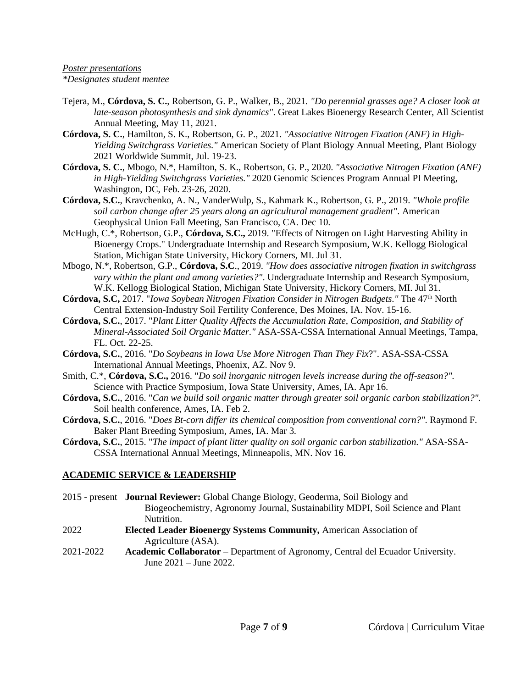#### *Poster presentations \*Designates student mentee*

- Tejera, M., **Córdova, S. C.**, Robertson, G. P., Walker, B., 2021*. "Do perennial grasses age? A closer look at late-season photosynthesis and sink dynamics"*. Great Lakes Bioenergy Research Center, All Scientist Annual Meeting, May 11, 2021.
- **Córdova, S. C.**, Hamilton, S. K., Robertson, G. P., 2021. *"Associative Nitrogen Fixation (ANF) in High-Yielding Switchgrass Varieties."* American Society of Plant Biology Annual Meeting, Plant Biology 2021 Worldwide Summit, Jul. 19-23.
- **Córdova, S. C.**, Mbogo, N.\*, Hamilton, S. K., Robertson, G. P., 2020. *"Associative Nitrogen Fixation (ANF) in High-Yielding Switchgrass Varieties."* 2020 Genomic Sciences Program Annual PI Meeting, Washington, DC, Feb. 23-26, 2020.
- **Córdova, S.C.**, Kravchenko, A. N., VanderWulp, S., Kahmark K., Robertson, G. P., 2019. *["Whole profile](https://a9c88383-a9d3-412a-bcd4-6e245512c46f.filesusr.com/ugd/7afef7_5b57ed8b3bcd41d7a5037e10611958b2.pdf)  [soil carbon change after 25 years along an agricultural management gradient"](https://a9c88383-a9d3-412a-bcd4-6e245512c46f.filesusr.com/ugd/7afef7_5b57ed8b3bcd41d7a5037e10611958b2.pdf)*. American Geophysical Union Fall Meeting, San Francisco, CA. Dec 10.
- McHugh, C.\*, Robertson, G.P., **Córdova, S.C.,** 2019. "Effects of Nitrogen on Light Harvesting Ability in Bioenergy Crops." Undergraduate Internship and Research Symposium, W.K. Kellogg Biological Station, Michigan State University, Hickory Corners, MI. Jul 31.
- Mbogo, N.\*, Robertson, G.P., **Córdova, S.C**., 2019. *"How does associative nitrogen fixation in switchgrass vary within the plant and among varieties?"*. Undergraduate Internship and Research Symposium, W.K. Kellogg Biological Station, Michigan State University, Hickory Corners, MI. Jul 31.
- **Córdova, S.C,** 2017. "*Iowa Soybean Nitrogen Fixation Consider in Nitrogen Budgets."* The 47th North Central Extension-Industry Soil Fertility Conference, Des Moines, IA. Nov. 15-16.
- **Córdova, S.C.**, 2017. "*Plant Litter Quality Affects the Accumulation Rate, Composition, and Stability of Mineral-Associated Soil Organic Matter."* ASA-SSA-CSSA International Annual Meetings, Tampa, FL. Oct. 22-25.
- **Córdova, S.C.**, 2016. "*Do Soybeans in Iowa Use More Nitrogen Than They Fix*?". ASA-SSA-CSSA International Annual Meetings, Phoenix, AZ. Nov 9.
- Smith, C.\*, **Córdova, S.C.,** 2016. "*Do soil inorganic nitrogen levels increase during the off-season?".* Science with Practice Symposium, Iowa State University, Ames, IA. Apr 16.
- **Córdova, S.C.**, 2016. "*Can we build soil organic matter through greater soil organic carbon stabilization?".* Soil health conference, Ames, IA. Feb 2.
- **Córdova, S.C.**, 2016. "*Does Bt-corn differ its chemical composition from conventional corn?".* Raymond F. Baker Plant Breeding Symposium, Ames, IA. Mar 3.
- **Córdova, S.C.**, 2015. "*The impact of plant litter quality on soil organic carbon stabilization."* ASA-SSA-CSSA International Annual Meetings, Minneapolis, MN. Nov 16.

## **ACADEMIC SERVICE & LEADERSHIP**

June 2021 – June 2022.

2015 - present **Journal Reviewer:** Global Change Biology, Geoderma, Soil Biology and Biogeochemistry, Agronomy Journal, Sustainability MDPI, Soil Science and Plant Nutrition. 2022 **Elected Leader Bioenergy Systems Community,** American Association of Agriculture (ASA). 2021-2022 **Academic Collaborator** – Department of Agronomy, Central del Ecuador University.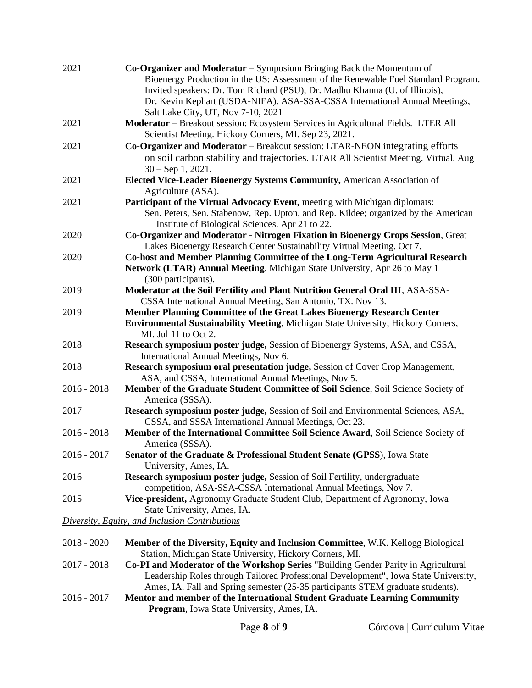| 2021          | $Co-Organizer$ and Moderator – Symposium Bringing Back the Momentum of<br>Bioenergy Production in the US: Assessment of the Renewable Fuel Standard Program.<br>Invited speakers: Dr. Tom Richard (PSU), Dr. Madhu Khanna (U. of Illinois),<br>Dr. Kevin Kephart (USDA-NIFA). ASA-SSA-CSSA International Annual Meetings, |
|---------------|---------------------------------------------------------------------------------------------------------------------------------------------------------------------------------------------------------------------------------------------------------------------------------------------------------------------------|
| 2021          | Salt Lake City, UT, Nov 7-10, 2021<br>Moderator - Breakout session: Ecosystem Services in Agricultural Fields. LTER All                                                                                                                                                                                                   |
| 2021          | Scientist Meeting. Hickory Corners, MI. Sep 23, 2021.<br>Co-Organizer and Moderator - Breakout session: LTAR-NEON integrating efforts<br>on soil carbon stability and trajectories. LTAR All Scientist Meeting. Virtual. Aug                                                                                              |
| 2021          | $30 - Sep1, 2021.$<br>Elected Vice-Leader Bioenergy Systems Community, American Association of<br>Agriculture (ASA).                                                                                                                                                                                                      |
| 2021          | Participant of the Virtual Advocacy Event, meeting with Michigan diplomats:<br>Sen. Peters, Sen. Stabenow, Rep. Upton, and Rep. Kildee; organized by the American<br>Institute of Biological Sciences. Apr 21 to 22.                                                                                                      |
| 2020          | Co-Organizer and Moderator - Nitrogen Fixation in Bioenergy Crops Session, Great<br>Lakes Bioenergy Research Center Sustainability Virtual Meeting. Oct 7.                                                                                                                                                                |
| 2020          | Co-host and Member Planning Committee of the Long-Term Agricultural Research<br>Network (LTAR) Annual Meeting, Michigan State University, Apr 26 to May 1<br>(300 participants).                                                                                                                                          |
| 2019          | Moderator at the Soil Fertility and Plant Nutrition General Oral III, ASA-SSA-<br>CSSA International Annual Meeting, San Antonio, TX. Nov 13.                                                                                                                                                                             |
| 2019          | Member Planning Committee of the Great Lakes Bioenergy Research Center<br><b>Environmental Sustainability Meeting, Michigan State University, Hickory Corners,</b><br>MI. Jul 11 to Oct 2.                                                                                                                                |
| 2018          | Research symposium poster judge, Session of Bioenergy Systems, ASA, and CSSA,<br>International Annual Meetings, Nov 6.                                                                                                                                                                                                    |
| 2018          | Research symposium oral presentation judge, Session of Cover Crop Management,<br>ASA, and CSSA, International Annual Meetings, Nov 5.                                                                                                                                                                                     |
| $2016 - 2018$ | Member of the Graduate Student Committee of Soil Science, Soil Science Society of<br>America (SSSA).                                                                                                                                                                                                                      |
| 2017          | Research symposium poster judge, Session of Soil and Environmental Sciences, ASA,<br>CSSA, and SSSA International Annual Meetings, Oct 23.                                                                                                                                                                                |
| $2016 - 2018$ | Member of the International Committee Soil Science Award, Soil Science Society of<br>America (SSSA).                                                                                                                                                                                                                      |
| 2016 - 2017   | Senator of the Graduate & Professional Student Senate (GPSS), Iowa State<br>University, Ames, IA.                                                                                                                                                                                                                         |
| 2016          | Research symposium poster judge, Session of Soil Fertility, undergraduate<br>competition, ASA-SSA-CSSA International Annual Meetings, Nov 7.                                                                                                                                                                              |
| 2015          | Vice-president, Agronomy Graduate Student Club, Department of Agronomy, Iowa<br>State University, Ames, IA.                                                                                                                                                                                                               |
|               | Diversity, Equity, and Inclusion Contributions                                                                                                                                                                                                                                                                            |
| $2018 - 2020$ | Member of the Diversity, Equity and Inclusion Committee, W.K. Kellogg Biological<br>Station, Michigan State University, Hickory Corners, MI.                                                                                                                                                                              |
| 2017 - 2018   | Co-PI and Moderator of the Workshop Series "Building Gender Parity in Agricultural                                                                                                                                                                                                                                        |

Leadership Roles through Tailored Professional Development", Iowa State University, Ames, IA. Fall and Spring semester (25-35 participants STEM graduate students).

2016 - 2017 **Mentor and member of the International Student Graduate Learning Community Program**, Iowa State University, Ames, IA.